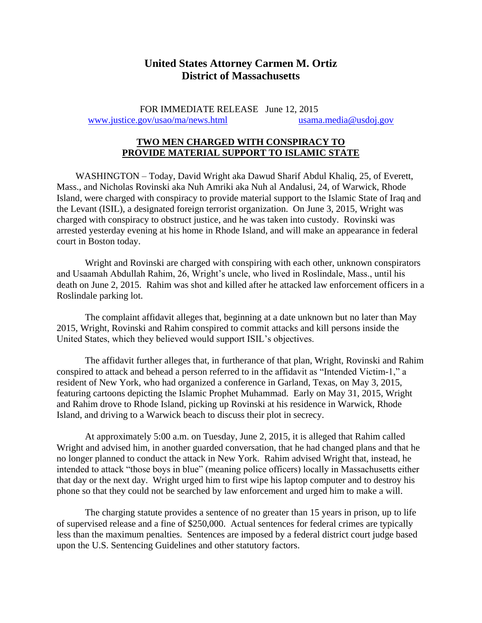## **United States Attorney Carmen M. Ortiz District of Massachusetts**

FOR IMMEDIATE RELEASE June 12, 2015 [www.justice.gov/usao/ma/news.html](http://www.justice.gov/usao/ma/news.html) [usama.media@usdoj.gov](mailto:usama.media@usdoj.gov)

## **TWO MEN CHARGED WITH CONSPIRACY TO PROVIDE MATERIAL SUPPORT TO ISLAMIC STATE**

 WASHINGTON – Today, David Wright aka Dawud Sharif Abdul Khaliq, 25, of Everett, Mass., and Nicholas Rovinski aka Nuh Amriki aka Nuh al Andalusi, 24, of Warwick, Rhode Island, were charged with conspiracy to provide material support to the Islamic State of Iraq and the Levant (ISIL), a designated foreign terrorist organization. On June 3, 2015, Wright was charged with conspiracy to obstruct justice, and he was taken into custody. Rovinski was arrested yesterday evening at his home in Rhode Island, and will make an appearance in federal court in Boston today.

Wright and Rovinski are charged with conspiring with each other, unknown conspirators and Usaamah Abdullah Rahim, 26, Wright's uncle, who lived in Roslindale, Mass., until his death on June 2, 2015. Rahim was shot and killed after he attacked law enforcement officers in a Roslindale parking lot.

The complaint affidavit alleges that, beginning at a date unknown but no later than May 2015, Wright, Rovinski and Rahim conspired to commit attacks and kill persons inside the United States, which they believed would support ISIL's objectives.

The affidavit further alleges that, in furtherance of that plan, Wright, Rovinski and Rahim conspired to attack and behead a person referred to in the affidavit as "Intended Victim-1," a resident of New York, who had organized a conference in Garland, Texas, on May 3, 2015, featuring cartoons depicting the Islamic Prophet Muhammad. Early on May 31, 2015, Wright and Rahim drove to Rhode Island, picking up Rovinski at his residence in Warwick, Rhode Island, and driving to a Warwick beach to discuss their plot in secrecy.

At approximately 5:00 a.m. on Tuesday, June 2, 2015, it is alleged that Rahim called Wright and advised him, in another guarded conversation, that he had changed plans and that he no longer planned to conduct the attack in New York. Rahim advised Wright that, instead, he intended to attack "those boys in blue" (meaning police officers) locally in Massachusetts either that day or the next day. Wright urged him to first wipe his laptop computer and to destroy his phone so that they could not be searched by law enforcement and urged him to make a will.

The charging statute provides a sentence of no greater than 15 years in prison, up to life of supervised release and a fine of \$250,000. Actual sentences for federal crimes are typically less than the maximum penalties. Sentences are imposed by a federal district court judge based upon the U.S. Sentencing Guidelines and other statutory factors.